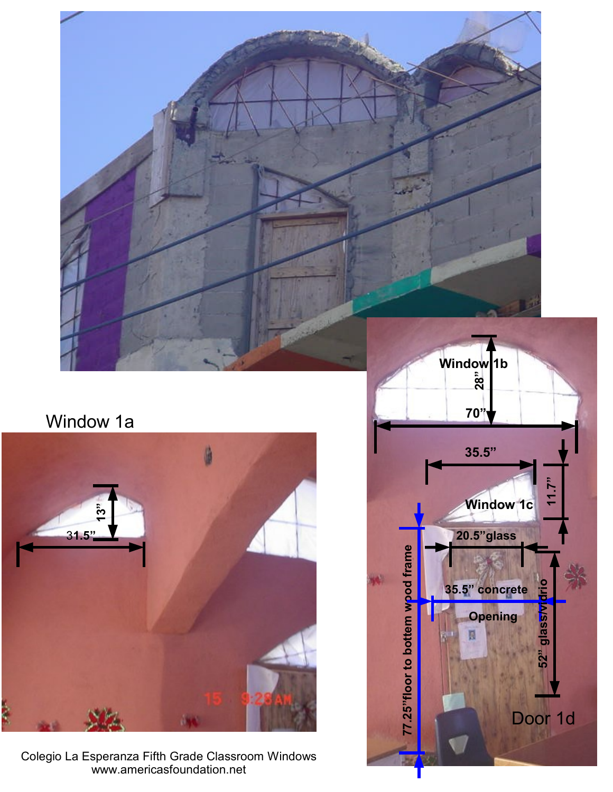

# Window 1a



Colegio La Esperanza Fifth Grade Classroom Windows www.americasfoundation.net

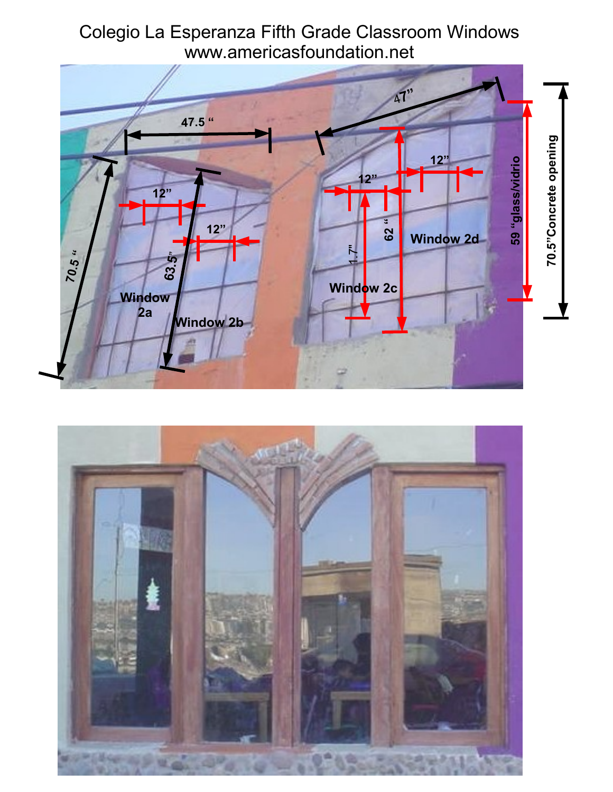



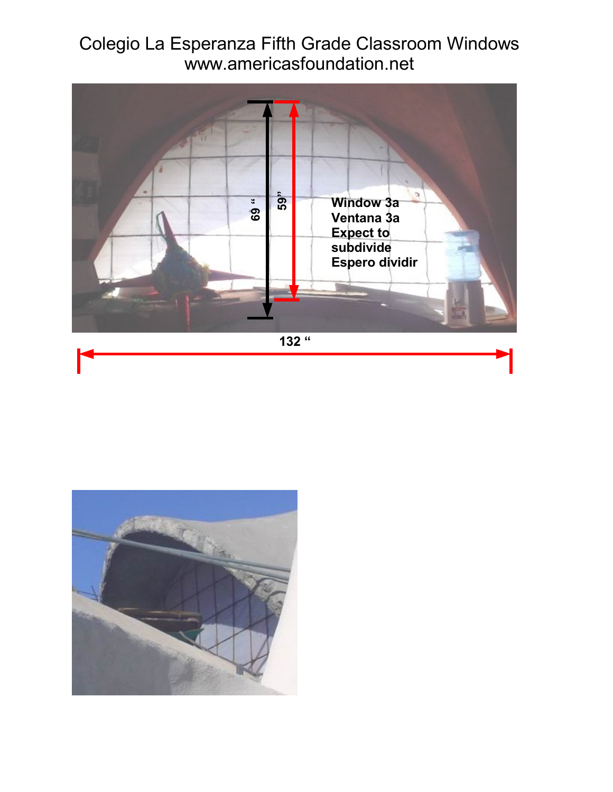### Colegio La Esperanza Fifth Grade Classroom Windows www.americasfoundation.net



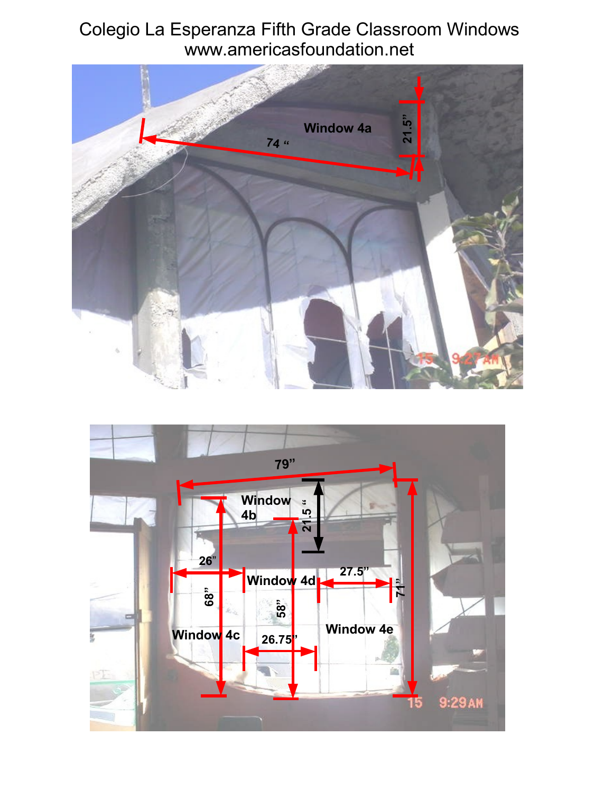### Colegio La Esperanza Fifth Grade Classroom Windows www.americasfoundation.net



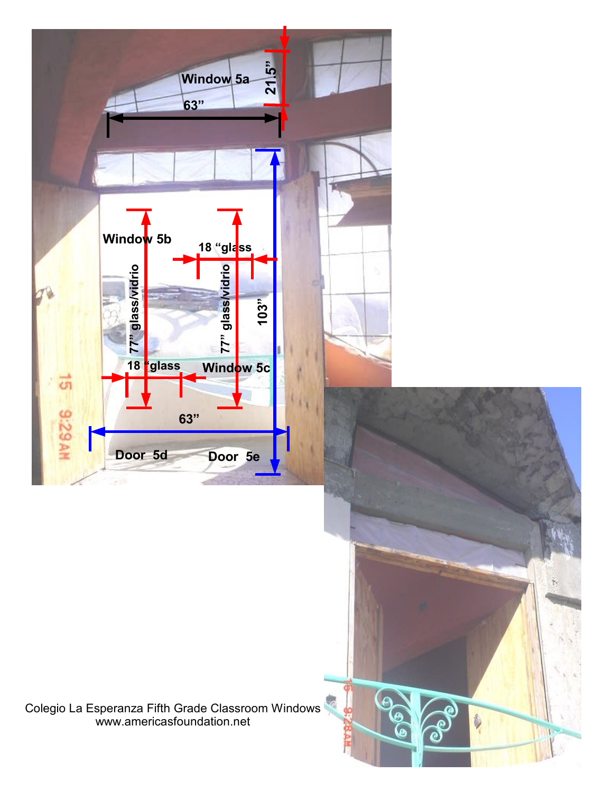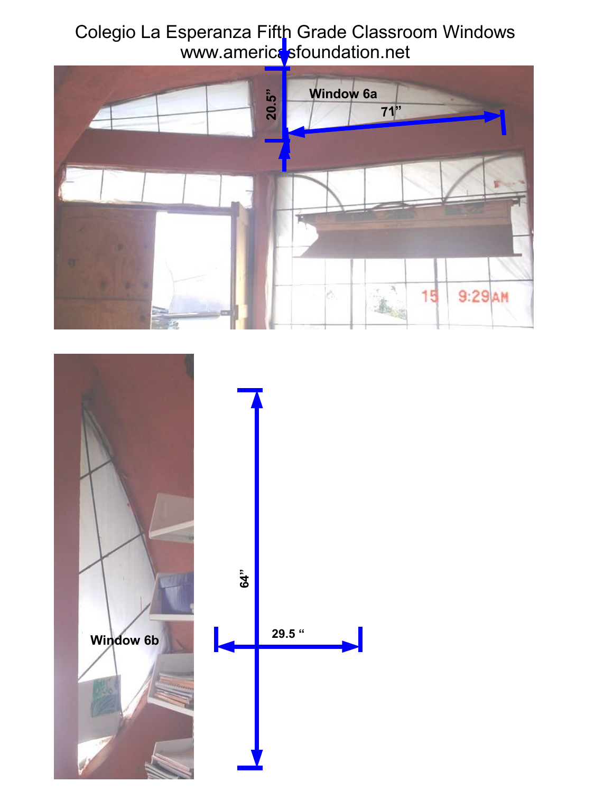#### Colegio La Esperanza Fifth Grade Classroom Windows www.america<mark>s</mark>foundation.net



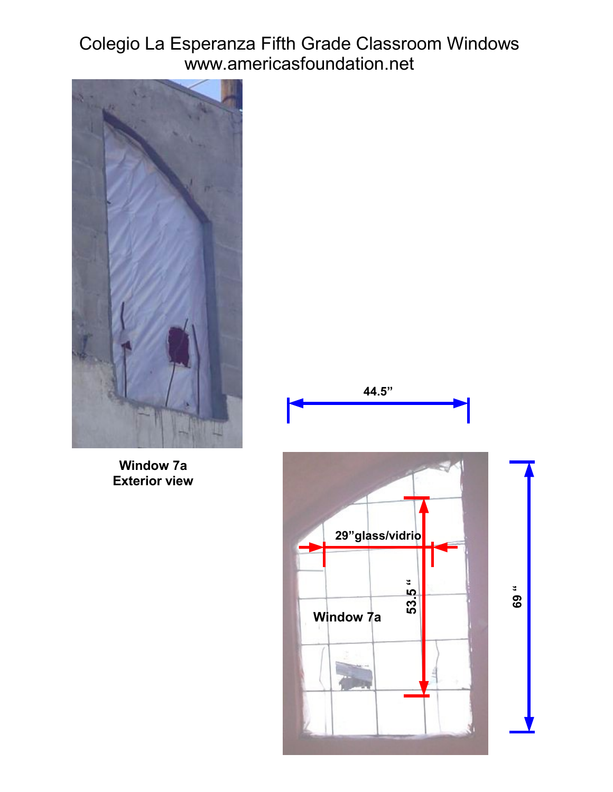## Colegio La Esperanza Fifth Grade Classroom Windows www.americasfoundation.net



**Window 7a Exterior view**

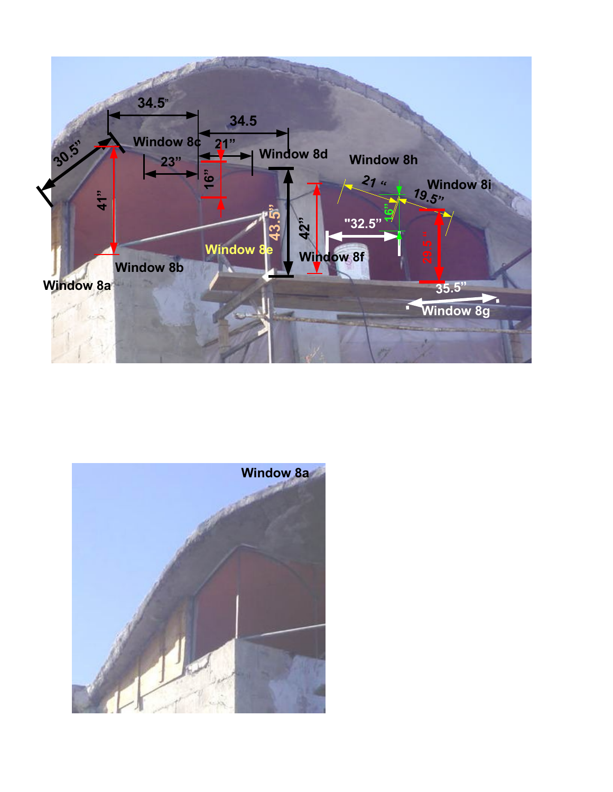

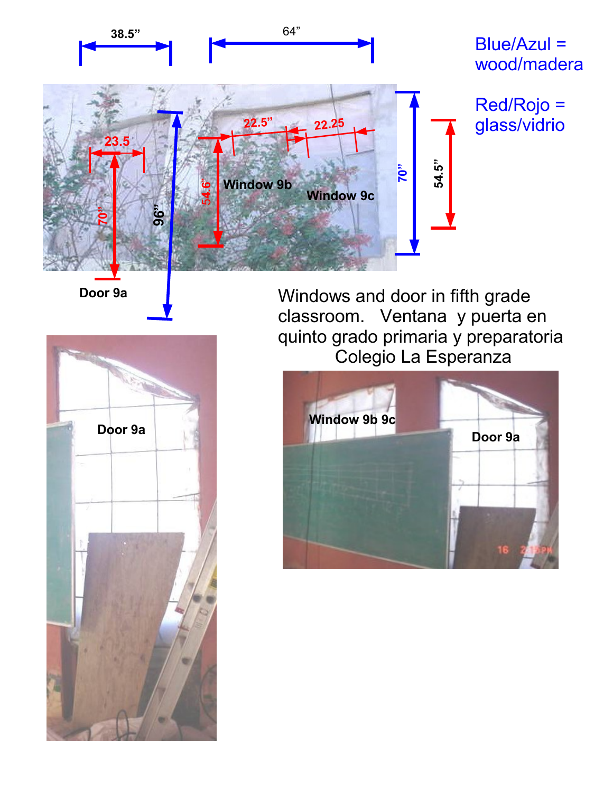

**Door 9a**



Windows and door in fifth grade classroom. Ventana y puerta en quinto grado primaria y preparatoria Colegio La Esperanza